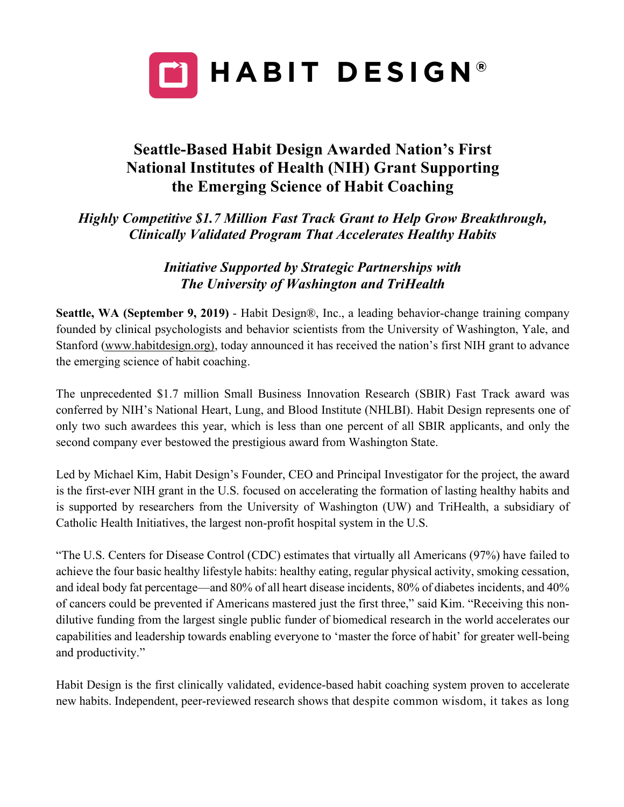

## **Seattle-Based Habit Design Awarded Nation's First National Institutes of Health (NIH) Grant Supporting the Emerging Science of Habit Coaching**

*Highly Competitive \$1.7 Million Fast Track Grant to Help Grow Breakthrough, Clinically Validated Program That Accelerates Healthy Habits*

> *Initiative Supported by Strategic Partnerships with The University of Washington and TriHealth*

**Seattle, WA (September 9, 2019)** - Habit Design®, Inc., a leading behavior-change training company founded by clinical psychologists and behavior scientists from the University of Washington, Yale, and Stanford (www.habitdesign.org), today announced it has received the nation's first NIH grant to advance the emerging science of habit coaching.

The unprecedented \$1.7 million Small Business Innovation Research (SBIR) Fast Track award was conferred by NIH's National Heart, Lung, and Blood Institute (NHLBI). Habit Design represents one of only two such awardees this year, which is less than one percent of all SBIR applicants, and only the second company ever bestowed the prestigious award from Washington State.

Led by Michael Kim, Habit Design's Founder, CEO and Principal Investigator for the project, the award is the first-ever NIH grant in the U.S. focused on accelerating the formation of lasting healthy habits and is supported by researchers from the University of Washington (UW) and TriHealth, a subsidiary of Catholic Health Initiatives, the largest non-profit hospital system in the U.S.

"The U.S. Centers for Disease Control (CDC) estimates that virtually all Americans (97%) have failed to achieve the four basic healthy lifestyle habits: healthy eating, regular physical activity, smoking cessation, and ideal body fat percentage—and 80% of all heart disease incidents, 80% of diabetes incidents, and 40% of cancers could be prevented if Americans mastered just the first three," said Kim. "Receiving this nondilutive funding from the largest single public funder of biomedical research in the world accelerates our capabilities and leadership towards enabling everyone to 'master the force of habit' for greater well-being and productivity."

Habit Design is the first clinically validated, evidence-based habit coaching system proven to accelerate new habits. Independent, peer-reviewed research shows that despite common wisdom, it takes as long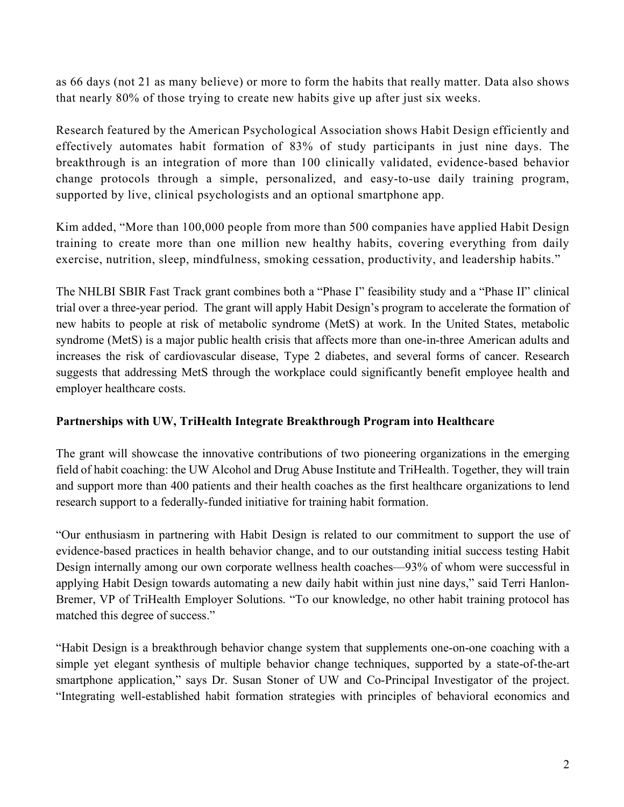as 66 days (not 21 as many believe) or more to form the habits that really matter. Data also shows that nearly 80% of those trying to create new habits give up after just six weeks.

Research featured by the American Psychological Association shows Habit Design efficiently and effectively automates habit formation of 83% of study participants in just nine days. The breakthrough is an integration of more than 100 clinically validated, evidence-based behavior change protocols through a simple, personalized, and easy-to-use daily training program, supported by live, clinical psychologists and an optional smartphone app.

Kim added, "More than 100,000 people from more than 500 companies have applied Habit Design training to create more than one million new healthy habits, covering everything from daily exercise, nutrition, sleep, mindfulness, smoking cessation, productivity, and leadership habits."

The NHLBI SBIR Fast Track grant combines both a "Phase I" feasibility study and a "Phase II" clinical trial over a three-year period. The grant will apply Habit Design's program to accelerate the formation of new habits to people at risk of metabolic syndrome (MetS) at work. In the United States, metabolic syndrome (MetS) is a major public health crisis that affects more than one-in-three American adults and increases the risk of cardiovascular disease, Type 2 diabetes, and several forms of cancer. Research suggests that addressing MetS through the workplace could significantly benefit employee health and employer healthcare costs.

## **Partnerships with UW, TriHealth Integrate Breakthrough Program into Healthcare**

The grant will showcase the innovative contributions of two pioneering organizations in the emerging field of habit coaching: the UW Alcohol and Drug Abuse Institute and TriHealth. Together, they will train and support more than 400 patients and their health coaches as the first healthcare organizations to lend research support to a federally-funded initiative for training habit formation.

"Our enthusiasm in partnering with Habit Design is related to our commitment to support the use of evidence-based practices in health behavior change, and to our outstanding initial success testing Habit Design internally among our own corporate wellness health coaches—93% of whom were successful in applying Habit Design towards automating a new daily habit within just nine days," said Terri Hanlon-Bremer, VP of TriHealth Employer Solutions. "To our knowledge, no other habit training protocol has matched this degree of success."

"Habit Design is a breakthrough behavior change system that supplements one-on-one coaching with a simple yet elegant synthesis of multiple behavior change techniques, supported by a state-of-the-art smartphone application," says Dr. Susan Stoner of UW and Co-Principal Investigator of the project. "Integrating well-established habit formation strategies with principles of behavioral economics and